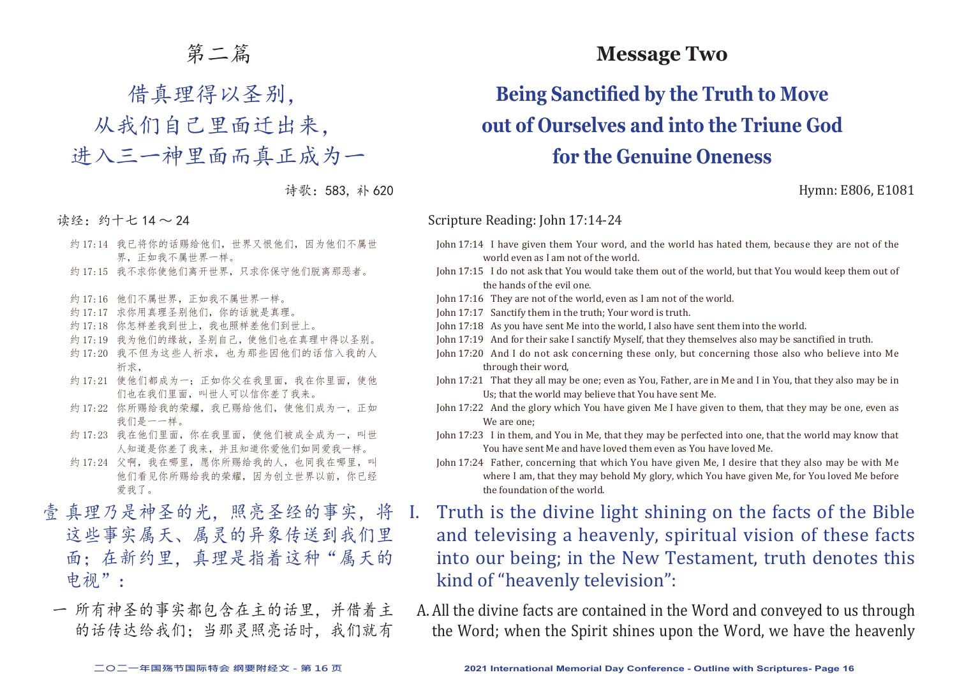### 第二篇

# 借真理得以圣别,

从我们自己里面迁出来,

进入三一神里面而真正成为一

诗歌:583, 补 620

读经:约十七 14 ~ 24

- 约 17:14 我已将你的话赐给他们, 世界又恨他们, 因为他们不属世 界,正如我不属世界一样。
- 约 17:15 我不求你使他们离开世界,只求你保守他们脱离那恶者。
- 约 17:16 他们不属世界,正如我不属世界一样。
- 约 17:17 求你用真理圣别他们, 你的话就是真理。
- 约 17:18 你怎样差我到世上,我也照样差他们到世上。
- 约 17:19 我为他们的缘故, 圣别自己, 使他们也在真理中得以圣别。
- 约 17:20 我不但为这些人祈求,也为那些因他们的话信入我的人 祈求,
- 约 17:21 使他们都成为一: 正如你父在我里面, 我在你里面, 使他 们也在我们里面,叫世人可以信你差了我来。
- 约 17:22 你所赐给我的荣耀, 我已赐给他们, 使他们成为一, 正如 我们是一一样。
- 约 17:23 我在他们里面,你在我里面,使他们被成全成为一,叫世 人知道是你差了我来,并且知道你爱他们如同爱我一样。
- 约 17:24 父啊, 我在哪里, 愿你所赐给我的人, 也同我在哪里, 叫 他们看见你所赐给我的荣耀,因为创立世界以前,你已经 爱我了。
- 壹 真理乃是神圣的光,照亮圣经的事实,将 这些事实属天、属灵的异象传送到我们里 面;在新约里,真理是指着这种"属天的 电视":
- 一 所有神圣的事实都包含在主的话里,并借着主 的话传达给我们;当那灵照亮话时,我们就有

### **Message Two**

# **Being Sanctified by the Truth to Move out of Ourselves and into the Triune God for the Genuine Oneness**

Hymn: E806, E1081

#### Scripture Reading: John 17:14-24

- John 17:14 I have given them Your word, and the world has hated them, because they are not of the world even as I am not of the world.
- John 17:15 I do not ask that You would take them out of the world, but that You would keep them out of the hands of the evil one.
- John 17:16 They are not of the world, even as I am not of the world.
- John 17:17 Sanctify them in the truth; Your word is truth.
- John 17:18 As you have sent Me into the world, I also have sent them into the world.
- John 17:19 And for their sake I sanctify Myself, that they themselves also may be sanctified in truth.
- John 17:20 And I do not ask concerning these only, but concerning those also who believe into Me through their word,
- John 17:21 That they all may be one; even as You, Father, are in Me and I in You, that they also may be in Us; that the world may believe that You have sent Me.
- John 17:22 And the glory which You have given Me I have given to them, that they may be one, even as We are one;
- John 17:23 I in them, and You in Me, that they may be perfected into one, that the world may know that You have sent Me and have loved them even as You have loved Me.
- John 17:24 Father, concerning that which You have given Me, I desire that they also may be with Me where I am, that they may behold My glory, which You have given Me, for You loved Me before the foundation of the world.
- I. Truth is the divine light shining on the facts of the Bible and televising a heavenly, spiritual vision of these facts into our being; in the New Testament, truth denotes this kind of "heavenly television":
- A.All the divine facts are contained in the Word and conveyed to us through the Word; when the Spirit shines upon the Word, we have the heavenly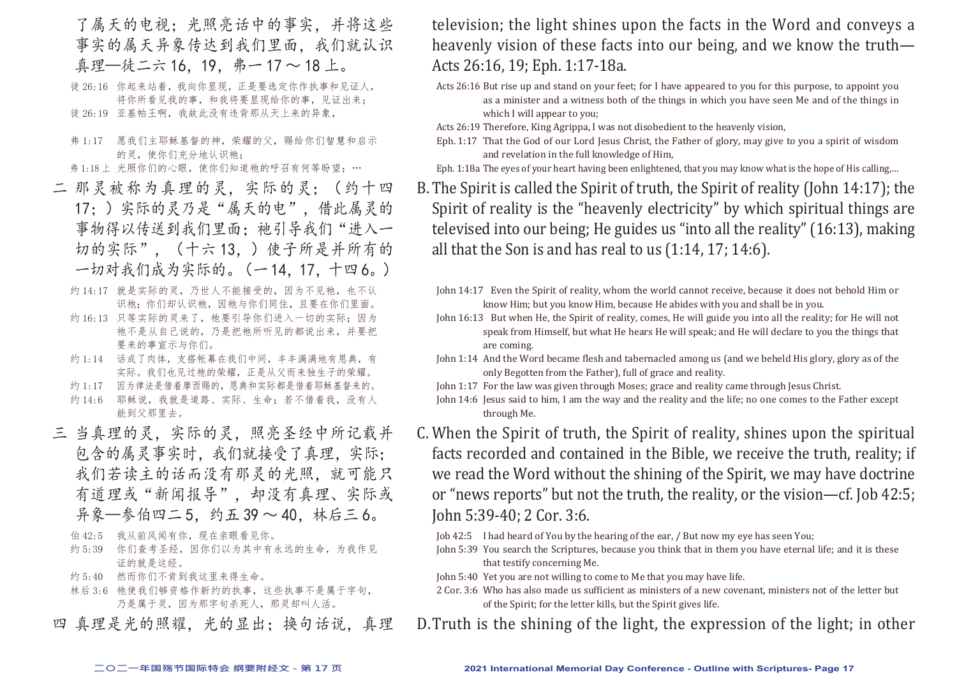- 了属天的电视;光照亮话中的事实,并将这些 事实的属天异象传达到我们里面,我们就认识 真理—徒二六 16, 19, 弗一 17 ~ 18 上。
- 徒 26:16 你起来站着,我向你显现,正是要选定你作执事和见证人, 将你所看见我的事,和我将要显现给你的事,见证出来; 徒 26:19 亚基帕王啊,我故此没有违背那从天上来的异象,
- 弗 1:17 愿我们主耶稣基督的神,荣耀的父,赐给你们智慧和启示 的灵,使你们充分地认识祂;

弗 1:18 上 光照你们的心眼, 使你们知道祂的呼召有何等盼望;…

- 二 那灵被称为真理的灵,实际的灵;(约十四 17;)实际的灵乃是"属天的电",借此属灵的 事物得以传送到我们里面;祂引导我们"进入一 切的实际",(十六 13,)使子所是并所有的 一切对我们成为实际的。(一 14,17,十四 6。)
	- 约 14:17 就是实际的灵,乃世人不能接受的,因为不见祂,也不认 识祂:你们却认识祂,因祂与你们同住,且要在你们里面。
	- 约 16:13 只等实际的灵来了, 祂要引导你们进入一切的实际; 因为 祂不是从自己说的,乃是把祂所听见的都说出来,并要把 要来的事宣示与你们。
	- 约 1:14 话成了肉体,支搭帐幕在我们中间,丰丰满满地有恩典,有 实际。我们也见过祂的荣耀,正是从父而来独生子的荣耀。
	- 约 1:17 因为律法是借着摩西赐的,恩典和实际都是借着耶稣基督来的。
	- 约 14:6 耶稣说,我就是道路、实际、生命;若不借着我,没有人 能到父那里去。
- 三 当真理的灵,实际的灵,照亮圣经中所记载并 包含的属灵事实时,我们就接受了真理,实际; 我们若读主的话而没有那灵的光照,就可能只 有道理或"新闻报导",却没有真理、实际或 异象—参伯四二 5,约五 39 ~ 40,林后三 6。
	- 伯 42:5 我从前风闻有你,现在亲眼看见你。
	- 约 5:39 你们查考圣经,因你们以为其中有永远的生命,为我作见 证的就是这经。
	- 约 5:40 然而你们不肯到我这里来得生命。
	- 林后 3:6 祂使我们够资格作新约的执事,这些执事不是属于字句, 乃是属于灵,因为那字句杀死人,那灵却叫人活。
- 四 真理是光的照耀,光的显出;换句话说,真理

television; the light shines upon the facts in the Word and conveys a heavenly vision of these facts into our being, and we know the truth— Acts 26:16, 19; Eph. 1:17-18a.

Acts 26:16 But rise up and stand on your feet; for I have appeared to you for this purpose, to appoint you as a minister and a witness both of the things in which you have seen Me and of the things in which I will appear to you;

Acts 26:19 Therefore, King Agrippa, I was not disobedient to the heavenly vision,

Eph. 1:17 That the God of our Lord Jesus Christ, the Father of glory, may give to you a spirit of wisdom and revelation in the full knowledge of Him,

Eph. 1:18a The eyes of your heart having been enlightened, that you may know what is the hope of His calling,…

B.The Spirit is called the Spirit of truth, the Spirit of reality (John 14:17); the Spirit of reality is the "heavenly electricity" by which spiritual things are televised into our being; He guides us "into all the reality" (16:13), making all that the Son is and has real to us (1:14, 17; 14:6).

- John 14:17 Even the Spirit of reality, whom the world cannot receive, because it does not behold Him or know Him; but you know Him, because He abides with you and shall be in you.
- John 16:13 But when He, the Spirit of reality, comes, He will guide you into all the reality; for He will not speak from Himself, but what He hears He will speak; and He will declare to you the things that are coming.
- John 1:14 And the Word became flesh and tabernacled among us (and we beheld His glory, glory as of the only Begotten from the Father), full of grace and reality.
- John 1:17 For the law was given through Moses; grace and reality came through Jesus Christ.
- John 14:6 Jesus said to him, I am the way and the reality and the life; no one comes to the Father except through Me.
- C. When the Spirit of truth, the Spirit of reality, shines upon the spiritual facts recorded and contained in the Bible, we receive the truth, reality; if we read the Word without the shining of the Spirit, we may have doctrine or "news reports" but not the truth, the reality, or the vision—cf. Job 42:5; John 5:39-40; 2 Cor. 3:6.
	- Job 42:5 I had heard of You by the hearing of the ear, / But now my eye has seen You;
	- John 5:39 You search the Scriptures, because you think that in them you have eternal life; and it is these that testify concerning Me.
	- John 5:40 Yet you are not willing to come to Me that you may have life.
	- 2 Cor. 3:6 Who has also made us sufficient as ministers of a new covenant, ministers not of the letter but of the Spirit; for the letter kills, but the Spirit gives life.
- D.Truth is the shining of the light, the expression of the light; in other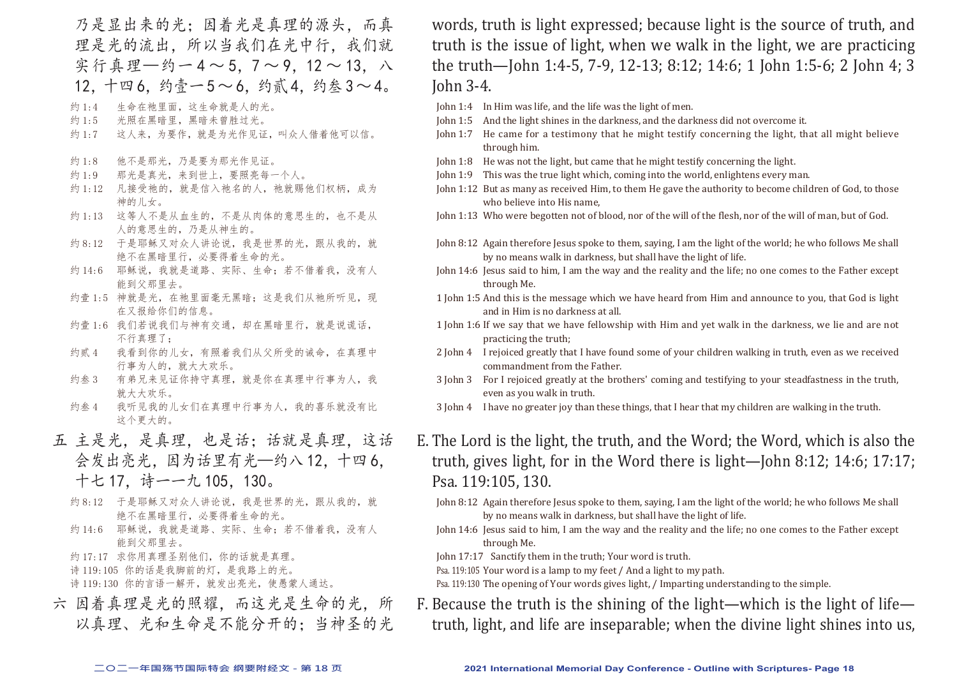乃是显出来的光;因着光是真理的源头,而真 理是光的流出,所以当我们在光中行,我们就 实行真理—约一4~5.7~9.12~13. 八 12. 十四 6. 约壹一 5 ~ 6. 约贰 4. 约叁 3 ~ 4。

- 约 1:4 生命在祂里面,这生命就是人的光。
- 约 1:5 光照在黑暗里,黑暗未曾胜过光。
- 约 1:7 这人来, 为要作, 就是为光作见证, 叫众人借着他可以信。
- 约 1:8 他不是那光,乃是要为那光作见证。
- 约 1:9 那光是真光,来到世上,要照亮每一个人。
- 约 1:12 凡接受祂的, 就是信入祂名的人, 祂就赐他们权柄, 成为 神的儿女。
- 约 1:13 这等人不是从血生的,不是从肉体的意思生的,也不是从 人的意思生的,乃是从神生的。
- 约 8:12 于是耶稣又对众人讲论说,我是世界的光,跟从我的,就 绝不在黑暗里行,必要得着生命的光。
- 约 14:6 耶稣说,我就是道路、实际、生命;若不借着我,没有人 能到父那里去。
- 约壹 1:5 神就是光, 在祂里面毫无黑暗; 这是我们从祂所听见, 现 在又报给你们的信息。
- 约壹 1:6 我们若说我们与神有交通, 却在黑暗里行, 就是说谎话, 不行真理了;
- 约贰 4 我看到你的儿女,有照着我们从父所受的诫命,在真理中 行事为人的,就大大欢乐。
- 约叁 3 有弟兄来见证你持守真理,就是你在真理中行事为人,我 就大大欢乐。
- 约叁 4 我听见我的儿女们在真理中行事为人,我的喜乐就没有比 这个更大的。
- 五 主是光,是真理,也是话;话就是真理,这话 会发出亮光,因为话里有光—约八 12,十四 6, 十七 17,诗一一九 105,130。
	- 约 8:12 于是耶稣又对众人讲论说,我是世界的光,跟从我的,就 绝不在黑暗里行,必要得着生命的光。
	- 约 14:6 耶稣说, 我就是道路、实际、生命; 若不借着我, 没有人 能到父那里去。
	- 约 17:17 求你用真理圣别他们,你的话就是真理。
	- 诗 119:105 你的话是我脚前的灯,是我路上的光。

诗 119:130 你的言语一解开,就发出亮光,使愚蒙人通达。

六 因着真理是光的照耀,而这光是生命的光,所 以真理、光和生命是不能分开的;当神圣的光 words, truth is light expressed; because light is the source of truth, and truth is the issue of light, when we walk in the light, we are practicing the truth—John 1:4-5, 7-9, 12-13; 8:12; 14:6; 1 John 1:5-6; 2 John 4; 3 John 3-4.

- John 1:4 In Him was life, and the life was the light of men.
- John 1:5 And the light shines in the darkness, and the darkness did not overcome it.
- John 1:7 He came for a testimony that he might testify concerning the light, that all might believe through him.
- John 1:8 He was not the light, but came that he might testify concerning the light.
- John 1:9 This was the true light which, coming into the world, enlightens every man.
- John 1:12 But as many as received Him, to them He gave the authority to become children of God, to those who believe into His name,

John 1:13 Who were begotten not of blood, nor of the will of the flesh, nor of the will of man, but of God.

- John 8:12 Again therefore Jesus spoke to them, saying, I am the light of the world; he who follows Me shall by no means walk in darkness, but shall have the light of life.
- John 14:6 Jesus said to him, I am the way and the reality and the life; no one comes to the Father except through Me.
- 1 John 1:5 And this is the message which we have heard from Him and announce to you, that God is light and in Him is no darkness at all.
- 1 John 1:6 If we say that we have fellowship with Him and yet walk in the darkness, we lie and are not practicing the truth;
- 2 John 4 I rejoiced greatly that I have found some of your children walking in truth, even as we received commandment from the Father.
- 3 John 3 For I rejoiced greatly at the brothers' coming and testifying to your steadfastness in the truth, even as you walk in truth.
- 3 John 4 I have no greater joy than these things, that I hear that my children are walking in the truth.
- E. The Lord is the light, the truth, and the Word; the Word, which is also the truth, gives light, for in the Word there is light—John 8:12; 14:6; 17:17; Psa. 119:105, 130.
	- John 8:12 Again therefore Jesus spoke to them, saying, I am the light of the world; he who follows Me shall by no means walk in darkness, but shall have the light of life.
	- John 14:6 Jesus said to him, I am the way and the reality and the life; no one comes to the Father except through Me.

John 17:17 Sanctify them in the truth; Your word is truth.

Psa. 119:105 Your word is a lamp to my feet / And a light to my path.

Psa. 119:130 The opening of Your words gives light, / Imparting understanding to the simple.

F. Because the truth is the shining of the light—which is the light of life truth, light, and life are inseparable; when the divine light shines into us,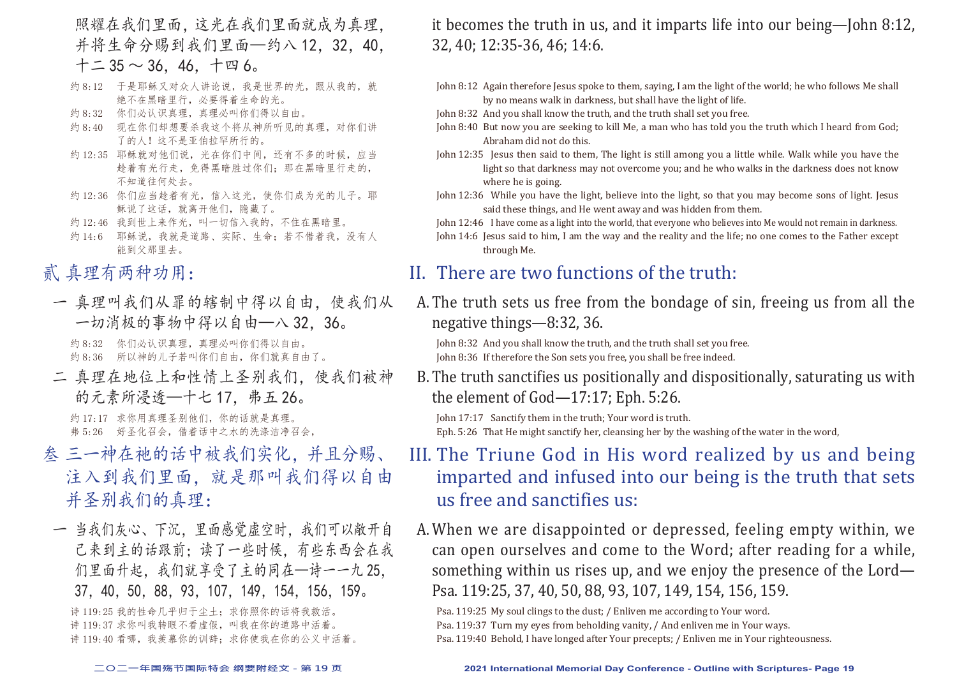照耀在我们里面,这光在我们里面就成为真理, 并将生命分赐到我们里面—约八12,32,40.  $+$   $-$  35  $\sim$  36, 46, 十 四 6。

- 约 8:12 于是耶稣又对众人讲论说,我是世界的光,跟从我的,就 绝不在黑暗里行,必要得着生命的光。
- 约 8:32 你们必认识真理,真理必叫你们得以自由。
- 约 8:40 现在你们却想要杀我这个将从神所听见的真理, 对你们讲 了的人!这不是亚伯拉罕所行的。
- 约 12:35 耶稣就对他们说,光在你们中间,还有不多的时候,应当 趁着有光行走,免得黑暗胜过你们;那在黑暗里行走的, 不知道往何处去。
- 约 12:36 你们应当趁着有光,信入这光,使你们成为光的儿子。耶 稣说了这话,就离开他们,隐藏了。
- 约 12:46 我到世上来作光,叫一切信入我的,不住在黑暗里。
- 约 14:6 耶稣说,我就是道路、实际、生命;若不借着我,没有人 能到父那里去。

### 贰 真理有两种功用:

一 真理叫我们从罪的辖制中得以自由,使我们从 一切消极的事物中得以自由—八 32,36。

约 8:32 你们必认识真理,真理必叫你们得以自由。 约 8:36 所以神的儿子若叫你们自由,你们就真自由了。

二 真理在地位上和性情上圣别我们,使我们被神 的元素所浸透—十七 17,弗五 26。

约 17:17 求你用真理圣别他们, 你的话就是真理。 弗 5:26 好圣化召会,借着话中之水的洗涤洁净召会,

- 叁 三一神在祂的话中被我们实化,并且分赐、 注入到我们里面,就是那叫我们得以自由 并圣别我们的真理:
- 一 当我们灰心、下沉,里面感觉虚空时,我们可以敞开自 己来到主的话跟前;读了一些时候,有些东西会在我 们里面升起,我们就享受了主的同在—诗一一九 25, 37,40,50,88,93,107,149,154,156,159。

诗 119:25 我的性命几乎归于尘土; 求你照你的话将我救活。 诗 119:37 求你叫我转眼不看虚假,叫我在你的道路中活着。 诗 119:40 看哪, 我羡慕你的训辞: 求你使我在你的公义中活着。 it becomes the truth in us, and it imparts life into our being—John 8:12, 32, 40; 12:35-36, 46; 14:6.

- John 8:12 Again therefore Jesus spoke to them, saying, I am the light of the world; he who follows Me shall by no means walk in darkness, but shall have the light of life.
- John 8:32 And you shall know the truth, and the truth shall set you free.
- John 8:40 But now you are seeking to kill Me, a man who has told you the truth which I heard from God; Abraham did not do this.
- John 12:35 Jesus then said to them, The light is still among you a little while. Walk while you have the light so that darkness may not overcome you; and he who walks in the darkness does not know where he is going.
- John 12:36 While you have the light, believe into the light, so that you may become sons of light. Jesus said these things, and He went away and was hidden from them.
- John 12:46 I have come as a light into the world, that everyone who believes into Me would not remain in darkness.
- John 14:6 Jesus said to him, I am the way and the reality and the life; no one comes to the Father except through Me.

### II. There are two functions of the truth:

A.The truth sets us free from the bondage of sin, freeing us from all the negative things—8:32, 36.

John 8:32 And you shall know the truth, and the truth shall set you free. John 8:36 If therefore the Son sets you free, you shall be free indeed.

B.The truth sanctifies us positionally and dispositionally, saturating us with the element of God—17:17; Eph. 5:26.

John 17:17 Sanctify them in the truth; Your word is truth. Eph. 5:26 That He might sanctify her, cleansing her by the washing of the water in the word,

# III. The Triune God in His word realized by us and being imparted and infused into our being is the truth that sets us free and sanctifies us:

A.When we are disappointed or depressed, feeling empty within, we can open ourselves and come to the Word; after reading for a while, something within us rises up, and we enjoy the presence of the Lord— Psa. 119:25, 37, 40, 50, 88, 93, 107, 149, 154, 156, 159.

Psa. 119:25 My soul clings to the dust; / Enliven me according to Your word.

Psa. 119:37 Turn my eyes from beholding vanity, / And enliven me in Your ways.

Psa. 119:40 Behold, I have longed after Your precepts; / Enliven me in Your righteousness.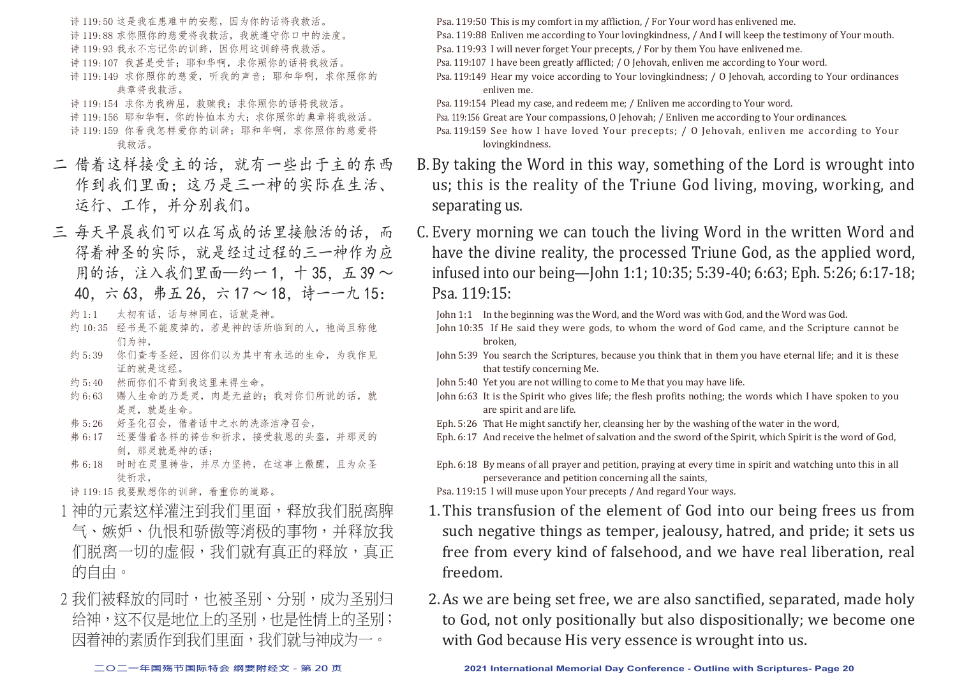诗 119:50 这是我在患难中的安慰,因为你的话将我救活。 诗 119:88 求你照你的慈爱将我救活,我就遵守你口中的法度。 诗 119:93 我永不忘记你的训辞,因你用这训辞将我救活。 诗 119:107 我甚是受苦;耶和华啊,求你照你的话将我救活。 诗 119:149 求你照你的慈爱, 听我的声音: 耶和华啊, 求你照你的 典章将我救活。 诗 119:154 求你为我辨屈,救赎我;求你照你的话将我救活。

诗 119:156 耶和华啊, 你的怜恤本为大; 求你照你的典章将我救活。 诗 119:159 你看我怎样爱你的训辞: 耶和华啊, 求你照你的慈爱将 我救活。

- 二 借着这样接受主的话,就有一些出于主的东西 作到我们里面;这乃是三一神的实际在生活、 运行、工作,并分别我们。
- 三 每天早晨我们可以在写成的话里接触活的话,而 得着神圣的实际,就是经过过程的三一神作为应 用的话,注入我们里面—约一1,十35,五39~ 40,六 63,弗五 26,六 17 ~ 18,诗一一九 15:
	- 约 1:1 太初有话,话与神同在,话就是神。
	- 约 10:35 经书是不能废掉的, 若是神的话所临到的人, 祂尚且称他 们为神,
	- 约 5:39 你们查考圣经,因你们以为其中有永远的生命,为我作见 证的就是这经。
	- 约 5:40 然而你们不肯到我这里来得生命。
	- 约 6:63 赐人生命的乃是灵,肉是无益的;我对你们所说的话,就 是灵,就是生命。
	- 弗 5:26 好圣化召会,借着话中之水的洗涤洁净召会,
	- 弗 6:17 还要借着各样的祷告和祈求,接受救恩的头盔,并那灵的 剑,那灵就是神的话;
	- 弗 6:18 时时在灵里祷告,并尽力坚持,在这事上儆醒,且为众圣 徒祈求,
	- 诗 119:15 我要默想你的训辞,看重你的道路。
	- 1 神的元素这样灌注到我们里面,释放我们脱离脾 气、嫉妒、仇恨和骄傲等消极的事物,并释放我 们脱离一切的虚假,我们就有真正的释放,真正 的自由。
- 2 我们被释放的同时,也被圣别、分别,成为圣别归 给神,这不仅是地位上的圣别,也是性情上的圣别; 因着神的素质作到我们里面,我们就与神成为一。

Psa. 119:50 This is my comfort in my affliction, / For Your word has enlivened me.

- Psa. 119:88 Enliven me according to Your lovingkindness, / And I will keep the testimony of Your mouth.
- Psa. 119:93 I will never forget Your precepts, / For by them You have enlivened me.
- Psa. 119:107 I have been greatly afflicted; / O Jehovah, enliven me according to Your word.
- Psa. 119:149 Hear my voice according to Your lovingkindness; / O Jehovah, according to Your ordinances enliven me.
- Psa. 119:154 Plead my case, and redeem me; / Enliven me according to Your word.

Psa. 119:156 Great are Your compassions, O Jehovah; / Enliven me according to Your ordinances.

- Psa. 119:159 See how I have loved Your precepts; / O Jehovah, enliven me according to Your lovingkindness.
- B.By taking the Word in this way, something of the Lord is wrought into us; this is the reality of the Triune God living, moving, working, and separating us.
- C. Every morning we can touch the living Word in the written Word and have the divine reality, the processed Triune God, as the applied word, infused into our being—John 1:1; 10:35; 5:39-40; 6:63; Eph. 5:26; 6:17-18; Psa. 119:15:

John 1:1 In the beginning was the Word, and the Word was with God, and the Word was God.

- John 10:35 If He said they were gods, to whom the word of God came, and the Scripture cannot be broken,
- John 5:39 You search the Scriptures, because you think that in them you have eternal life; and it is these that testify concerning Me.
- John 5:40 Yet you are not willing to come to Me that you may have life.
- John 6:63 It is the Spirit who gives life; the flesh profits nothing; the words which I have spoken to you are spirit and are life.
- Eph. 5:26 That He might sanctify her, cleansing her by the washing of the water in the word,
- Eph. 6:17 And receive the helmet of salvation and the sword of the Spirit, which Spirit is the word of God,
- Eph. 6:18 By means of all prayer and petition, praying at every time in spirit and watching unto this in all perseverance and petition concerning all the saints,
- Psa. 119:15 I will muse upon Your precepts / And regard Your ways.
- 1.This transfusion of the element of God into our being frees us from such negative things as temper, jealousy, hatred, and pride; it sets us free from every kind of falsehood, and we have real liberation, real freedom.
- 2.As we are being set free, we are also sanctified, separated, made holy to God, not only positionally but also dispositionally; we become one with God because His very essence is wrought into us.

**二○二一年国殇节国际特会 纲要附经文 - 第 20 页 2021 International Memorial Day Conference - Outline with Scriptures- Page 20**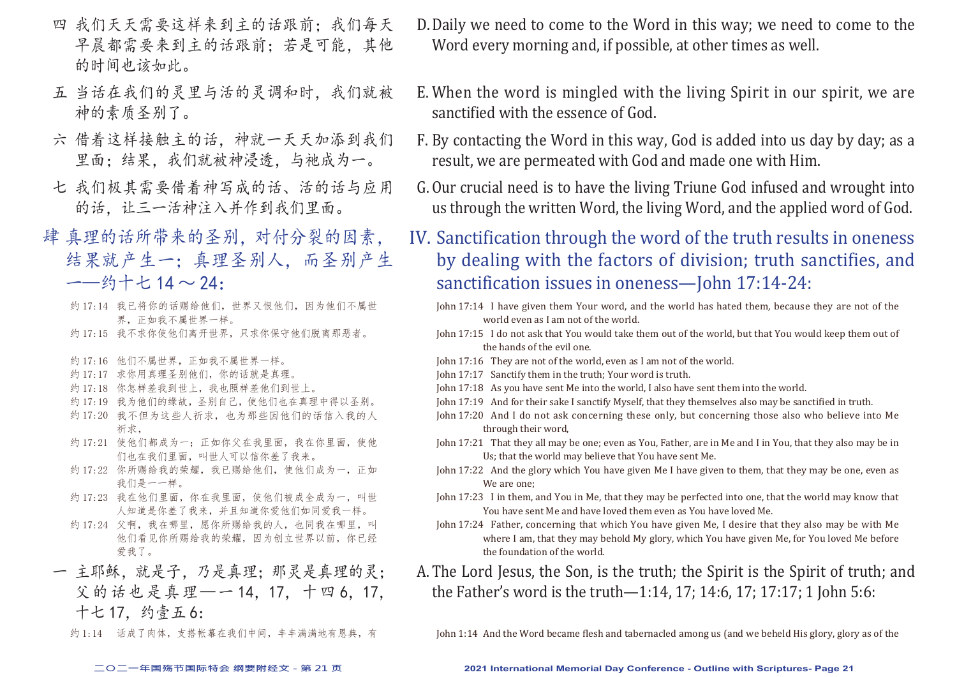- 四 我们天天需要这样来到主的话跟前;我们每天 早晨都需要来到主的话跟前:若是可能,其他 的时间也该如此。
- 五 当话在我们的灵里与活的灵调和时,我们就被 神的素质圣别了。
- 六 借着这样接触主的话,神就一天天加添到我们 里面:结果,我们就被神浸透,与祂成为一。
- 七 我们极其需要借着神写成的话、活的话与应用 的话。让三一活神注入并作到我们里面。
- 肆 真理的话所带来的圣别,对付分裂的因素, 结果就产生一;真理圣别人,而圣别产生 一—约十七 14 ~ 24:
	- 约 17:14 我已将你的话赐给他们, 世界又恨他们, 因为他们不属世 界,正如我不属世界一样。
	- 约 17:15 我不求你使他们离开世界,只求你保守他们脱离那恶者。
	- 约 17:16 他们不属世界,正如我不属世界一样。
	- 约 17:17 求你用真理圣别他们,你的话就是真理。
	- 约 17:18 你怎样差我到世上,我也照样差他们到世上。
	- 约 17:19 我为他们的缘故,圣别自己,使他们也在真理中得以圣别。
	- 约 17:20 我不但为这些人祈求,也为那些因他们的话信入我的人 祈求,
	- 约 17:21 使他们都成为一;正如你父在我里面,我在你里面,使他 们也在我们里面,叫世人可以信你差了我来。
	- 约 17:22 你所赐给我的荣耀,我已赐给他们,使他们成为一,正如 我们是一一样。
	- 约 17:23 我在他们里面, 你在我里面, 使他们被成全成为一, 叫世 人知道是你差了我来,并且知道你爱他们如同爱我一样。
	- 约 17:24 父啊, 我在哪里, 愿你所赐给我的人, 也同我在哪里, 叫 他们看见你所赐给我的荣耀,因为创立世界以前,你已经 爱我了。
	- 一 主耶稣,就是子,乃是真理;那灵是真理的灵; 父的话也是真理—一14,17,十四6,17, 十七 17,约壹五 6:
		- 约 1:14 话成了肉体, 支搭帐幕在我们中间, 丰丰满满地有恩典, 有
- D.Daily we need to come to the Word in this way; we need to come to the Word every morning and, if possible, at other times as well.
- E. When the word is mingled with the living Spirit in our spirit, we are sanctified with the essence of God.
- F. By contacting the Word in this way, God is added into us day by day; as a result, we are permeated with God and made one with Him.
- G.Our crucial need is to have the living Triune God infused and wrought into us through the written Word, the living Word, and the applied word of God.
- IV. Sanctification through the word of the truth results in oneness by dealing with the factors of division; truth sanctifies, and sanctification issues in oneness—John 17:14-24:
	- John 17:14 I have given them Your word, and the world has hated them, because they are not of the world even as I am not of the world.
	- John 17:15 I do not ask that You would take them out of the world, but that You would keep them out of the hands of the evil one.
	- John 17:16 They are not of the world, even as I am not of the world.
	- John 17:17 Sanctify them in the truth; Your word is truth.
	- John 17:18 As you have sent Me into the world, I also have sent them into the world.
	- John 17:19 And for their sake I sanctify Myself, that they themselves also may be sanctified in truth.
	- John 17:20 And I do not ask concerning these only, but concerning those also who believe into Me through their word,
	- John 17:21 That they all may be one; even as You, Father, are in Me and I in You, that they also may be in Us; that the world may believe that You have sent Me.
	- John 17:22 And the glory which You have given Me I have given to them, that they may be one, even as We are one;
	- John 17:23 I in them, and You in Me, that they may be perfected into one, that the world may know that You have sent Me and have loved them even as You have loved Me.
	- John 17:24 Father, concerning that which You have given Me, I desire that they also may be with Me where I am, that they may behold My glory, which You have given Me, for You loved Me before the foundation of the world.
- A.The Lord Jesus, the Son, is the truth; the Spirit is the Spirit of truth; and the Father's word is the truth—1:14, 17; 14:6, 17; 17:17; 1 John 5:6:

John 1:14 And the Word became flesh and tabernacled among us (and we beheld His glory, glory as of the

#### **二○二一年国殇节国际特会 纲要附经文 - 第 21 页 2021 International Memorial Day Conference - Outline with Scriptures- Page 21**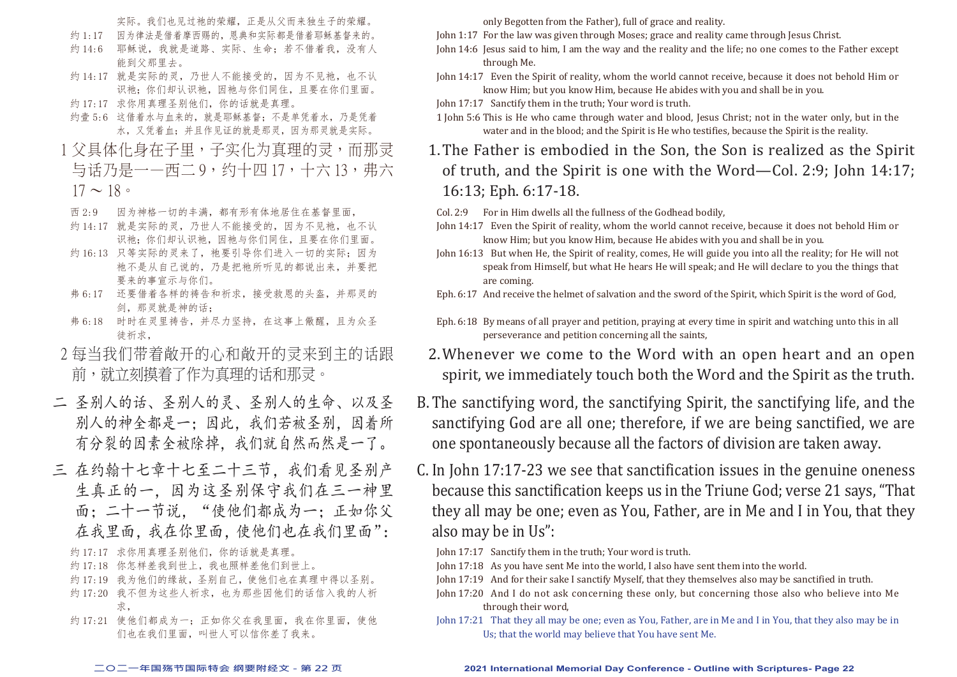实际。我们也见过祂的荣耀,正是从父而来独生子的荣耀。

- 约 1:17 因为律法是借着摩西赐的,恩典和实际都是借着耶稣基督来的。
- 约 14:6 耶稣说,我就是道路、实际、生命;若不借着我,没有人 能到父那里去。
- 约 14:17 就是实际的灵,乃世人不能接受的,因为不见祂,也不认 识祂;你们却认识祂,因祂与你们同住,且要在你们里面。
- 约 17:17 求你用真理圣别他们,你的话就是真理。
- 约壹 5:6 这借着水与血来的, 就是耶稣基督; 不是单凭着水, 乃是凭着 水,又凭着血;并且作见证的就是那灵,因为那灵就是实际。
- 1 父具体化身在子里,子实化为真理的灵,而那灵 与话乃是一一西二9,约十四17,十六13,弗六  $17 \sim 18$
- 西 2:9 因为神格一切的丰满,都有形有体地居住在基督里面,
- 约 14:17 就是实际的灵,乃世人不能接受的,因为不见祂,也不认 识祂;你们却认识祂,因祂与你们同住,且要在你们里面。
- 约 16:13 只等实际的灵来了, 祂要引导你们进入一切的实际; 因为 祂不是从自己说的,乃是把祂所听见的都说出来,并要把 要来的事宣示与你们。
- 弗 6:17 还要借着各样的祷告和祈求,接受救恩的头盔,并那灵的 剑,那灵就是神的话;
- 弗 6:18 时时在灵里祷告,并尽力坚持,在这事上儆醒,且为众圣 徒祈求,
- 2 每当我们带着敞开的心和敞开的灵来到主的话跟 前,就立刻摸着了作为真理的话和那灵。
- 二 圣别人的话、圣别人的灵、圣别人的生命、以及圣 别人的神全都是一;因此,我们若被圣别,因着所 有分裂的因素全被除掉,我们就自然而然是一了。
- 三 在约翰十七章十七至二十三节, 我们看见圣别产 生真正的一,因为这圣别保守我们在三一神里 面;二十一节说,"使他们都成为一;正如你父 在我里面,我在你里面,使他们也在我们里面":
	- 约 17:17 求你用真理圣别他们,你的话就是真理。
	- 约 17:18 你怎样差我到世上,我也照样差他们到世上。
	- 约 17:19 我为他们的缘故, 圣别自己, 使他们也在真理中得以圣别。
	- 约 17:20 我不但为这些人祈求, 也为那些因他们的话信入我的人祈 求,
	- 约 17:21 使他们都成为一;正如你父在我里面,我在你里面,使他 们也在我们里面,叫世人可以信你差了我来。

only Begotten from the Father), full of grace and reality.

John 1:17 For the law was given through Moses; grace and reality came through Jesus Christ.

- John 14:6 Jesus said to him, I am the way and the reality and the life; no one comes to the Father except through Me.
- John 14:17 Even the Spirit of reality, whom the world cannot receive, because it does not behold Him or know Him; but you know Him, because He abides with you and shall be in you.
- John 17:17 Sanctify them in the truth; Your word is truth.
- 1 John 5:6 This is He who came through water and blood, Jesus Christ; not in the water only, but in the water and in the blood; and the Spirit is He who testifies, because the Spirit is the reality.
- 1.The Father is embodied in the Son, the Son is realized as the Spirit of truth, and the Spirit is one with the Word—Col. 2:9; John 14:17; 16:13; Eph. 6:17-18.
- Col. 2:9 For in Him dwells all the fullness of the Godhead bodily,
- John 14:17 Even the Spirit of reality, whom the world cannot receive, because it does not behold Him or know Him; but you know Him, because He abides with you and shall be in you.
- John 16:13 But when He, the Spirit of reality, comes, He will guide you into all the reality; for He will not speak from Himself, but what He hears He will speak; and He will declare to you the things that are coming.
- Eph. 6:17 And receive the helmet of salvation and the sword of the Spirit, which Spirit is the word of God.
- Eph. 6:18 By means of all prayer and petition, praying at every time in spirit and watching unto this in all perseverance and petition concerning all the saints,
- 2.Whenever we come to the Word with an open heart and an open spirit, we immediately touch both the Word and the Spirit as the truth.
- B.The sanctifying word, the sanctifying Spirit, the sanctifying life, and the sanctifying God are all one; therefore, if we are being sanctified, we are one spontaneously because all the factors of division are taken away.
- C. In John 17:17-23 we see that sanctification issues in the genuine oneness because this sanctification keeps us in the Triune God; verse 21 says, "That they all may be one; even as You, Father, are in Me and I in You, that they also may be in Us":
	- John 17:17 Sanctify them in the truth; Your word is truth.
	- John 17:18 As you have sent Me into the world, I also have sent them into the world.
	- John 17:19 And for their sake I sanctify Myself, that they themselves also may be sanctified in truth.
	- John 17:20 And I do not ask concerning these only, but concerning those also who believe into Me through their word,
	- John 17:21 That they all may be one; even as You, Father, are in Me and I in You, that they also may be in Us; that the world may believe that You have sent Me.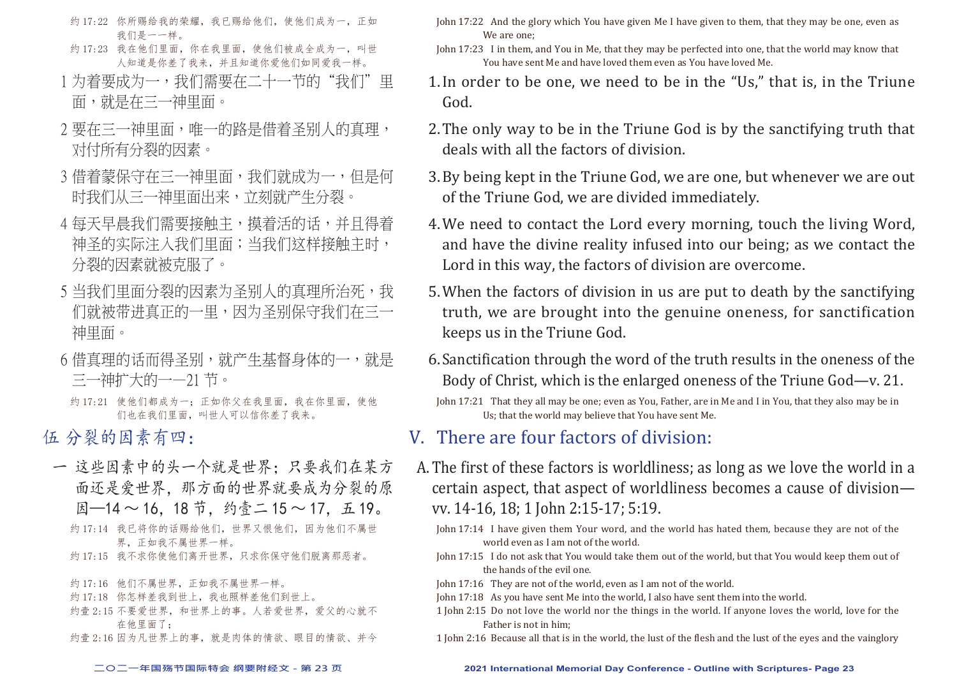- 约 17:22 你所赐给我的荣耀,我已赐给他们,使他们成为一,正如 我们是一一样。
- 约 17:23 我在他们里面,你在我里面,使他们被成全成为一,叫世 人知道是你差了我来,并且知道你爱他们如同爱我一样。
- 1 为着要成为一,我们需要在二十一节的"我们"里 面,就是在三一神里面。
- 2 要在三一神里面,唯一的路是借着圣别人的直理, 对付所有分裂的因素。
- 3 借着蒙保守在三一神里面, 我们就成为一, 但是何 时我们从三一神里面出来,立刻就产生分裂。
- 4 每天早晨我们需要接触主,摸着活的话,并且得着 神圣的实际注入我们里面;当我们这样接触主时, 分裂的因素就被克服了。
- 5 当我们里面分裂的因素为圣别人的真理所治死,我 们就被带进真正的一里,因为圣别保守我们在三一 神里面。
- 6 借真理的话而得圣别,就产生基督身体的一, 就是 三一神扩大的一—21 节。
	- 约 17:21 使他们都成为一;正如你父在我里面,我在你里面, 使他 们也在我们里面,叫世人可以信你差了我来。
- 伍 分裂的因素有四:
- 一 这些因素中的头一个就是世界;只要我们在某方 面还是爱世界,那方面的世界就要成为分裂的原  $\mathbb{B}$ —14 ~ 16, 18 节, 约壹二 15 ~ 17, 五 19。
	- 约 17:14 我已将你的话赐给他们, 世界又恨他们, 因为他们不属世 界,正如我不属世界一样。
	- 约 17:15 我不求你使他们离开世界,只求你保守他们脱离那恶者。
	- 约 17:16 他们不属世界,正如我不属世界一样。
	- 约 17:18 你怎样差我到世上,我也照样差他们到世上。
	- 约壹 2:15 不要爱世界, 和世界上的事。人若爱世界, 爱父的心就不 在他里面了;
	- 约壹 2:16 因为凡世界上的事,就是肉体的情欲、眼目的情欲、并今
- John 17:22 And the glory which You have given Me I have given to them, that they may be one, even as We are one;
- John 17:23 I in them, and You in Me, that they may be perfected into one, that the world may know that You have sent Me and have loved them even as You have loved Me.
- 1.In order to be one, we need to be in the "Us," that is, in the Triune God.
- 2.The only way to be in the Triune God is by the sanctifying truth that deals with all the factors of division.
- 3.By being kept in the Triune God, we are one, but whenever we are out of the Triune God, we are divided immediately.
- 4.We need to contact the Lord every morning, touch the living Word, and have the divine reality infused into our being; as we contact the Lord in this way, the factors of division are overcome.
- 5.When the factors of division in us are put to death by the sanctifying truth, we are brought into the genuine oneness, for sanctification keeps us in the Triune God.
- 6.Sanctification through the word of the truth results in the oneness of the Body of Christ, which is the enlarged oneness of the Triune God—v. 21.
- John 17:21 That they all may be one; even as You, Father, are in Me and I in You, that they also may be in Us; that the world may believe that You have sent Me.

### V. There are four factors of division:

- A.The first of these factors is worldliness; as long as we love the world in a certain aspect, that aspect of worldliness becomes a cause of division vv. 14-16, 18; 1 John 2:15-17; 5:19.
	- John 17:14 I have given them Your word, and the world has hated them, because they are not of the world even as I am not of the world.
	- John 17:15 I do not ask that You would take them out of the world, but that You would keep them out of the hands of the evil one.
	- John 17:16 They are not of the world, even as I am not of the world.
	- John 17:18 As you have sent Me into the world, I also have sent them into the world.
	- 1 John 2:15 Do not love the world nor the things in the world. If anyone loves the world, love for the Father is not in him;
	- 1 John 2:16 Because all that is in the world, the lust of the flesh and the lust of the eyes and the vainglory

#### **二○二一年国殇节国际特会 纲要附经文 - 第 23 页 2021 International Memorial Day Conference - Outline with Scriptures- Page 23**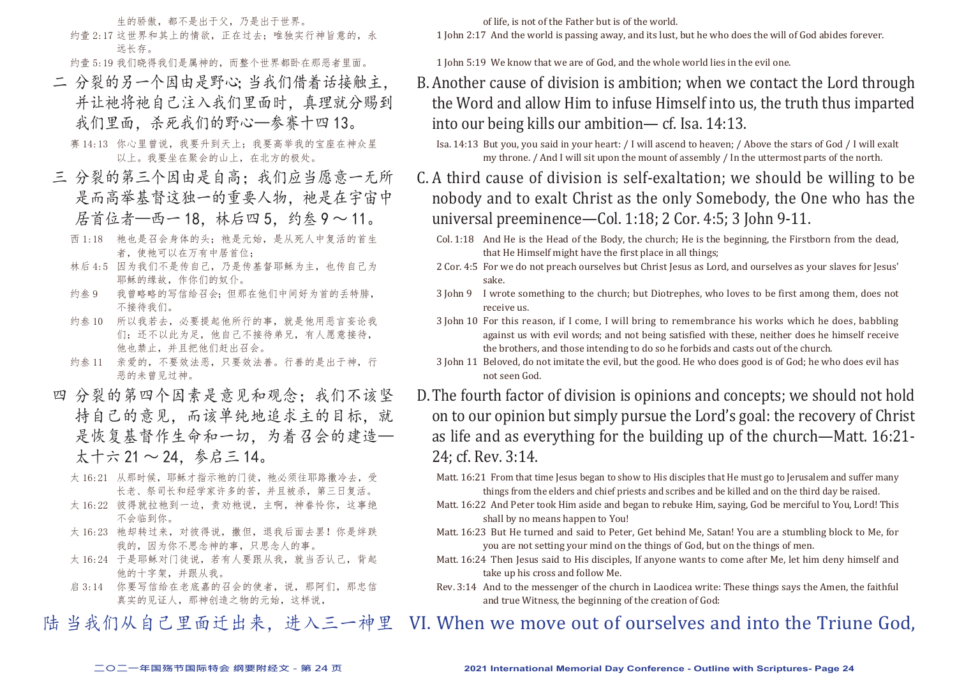生的骄傲,都不是出于父,乃是出于世界。 约壹 2:17 这世界和其上的情欲,正在过去;唯独实行神旨意的,永

远长存。 约壹 5:19 我们晓得我们是属神的,而整个世界都卧在那恶者里面。

二 分裂的另一个因由是野心;当我们借着话接触主, 并让祂将祂自己注入我们里面时, 真理就分赐到 我们里面,杀死我们的野心—参赛十四 13。

赛 14:13 你心里曾说, 我要升到天上; 我要高举我的宝座在神众星 以上。我要坐在聚会的山上,在北方的极处。

- 三 分裂的第三个因由是自高;我们应当愿意一无所 是而高举基督这独一的重要人物。祂是在宇宙中 居首位者—西一18, 林后四5, 约叁9~11。
	- 西 1:18 祂也是召会身体的头;祂是元始,是从死人中复活的首生 者, 使祂可以在万有中居首位;
	- 林后 4:5 因为我们不是传自己,乃是传基督耶稣为主,也传自己为 耶稣的缘故,作你们的奴仆。
	- 约叁 9 我曾略略的写信给召会;但那在他们中间好为首的丢特腓, 不接待我们。
	- 约叁 10 所以我若去,必要提起他所行的事,就是他用恶言妄论我 们;还不以此为足,他自己不接待弟兄,有人愿意接待, 他也禁止,并且把他们赶出召会。
	- 约叁 11 亲爱的,不要效法恶,只要效法善。行善的是出于神,行 恶的未曾见过神。
- 四 分裂的第四个因素是意见和观念;我们不该坚 持自己的意见,而该单纯地追求主的目标,就 是恢复基督作生命和一切,为着召会的建造— 太十六 21 ~ 24,参启三 14。
	- 太 16:21 从那时候, 耶稣才指示祂的门徒, 祂必须往耶路撒冷去, 受 长老、祭司长和经学家许多的苦,并且被杀,第三日复活。
	- 太 16:22 彼得就拉祂到一边,责劝祂说,主啊,神眷怜你,这事绝 不会临到你。
	- 太 16:23 祂却转过来, 对彼得说, 撒但, 退我后面去罢! 你是绊跌 我的,因为你不思念神的事,只思念人的事。
	- 太 16:24 于是耶稣对门徒说,若有人要跟从我,就当否认己,背起 他的十字架,并跟从我。
	- 启 3:14 你要写信给在老底嘉的召会的使者,说,那阿们,那忠信 真实的见证人,那神创造之物的元始,这样说,

of life, is not of the Father but is of the world.

1 John 2:17 And the world is passing away, and its lust, but he who does the will of God abides forever.

1 John 5:19 We know that we are of God, and the whole world lies in the evil one.

B.Another cause of division is ambition; when we contact the Lord through the Word and allow Him to infuse Himself into us, the truth thus imparted into our being kills our ambition— cf. Isa. 14:13.

Isa. 14:13 But you, you said in your heart: / I will ascend to heaven; / Above the stars of God / I will exalt my throne. / And I will sit upon the mount of assembly / In the uttermost parts of the north.

C. A third cause of division is self-exaltation; we should be willing to be nobody and to exalt Christ as the only Somebody, the One who has the universal preeminence—Col. 1:18; 2 Cor. 4:5; 3 John 9-11.

Col. 1:18 And He is the Head of the Body, the church; He is the beginning, the Firstborn from the dead, that He Himself might have the first place in all things;

2 Cor. 4:5 For we do not preach ourselves but Christ Jesus as Lord, and ourselves as your slaves for Jesus' sake.

3 John 9 I wrote something to the church; but Diotrephes, who loves to be first among them, does not receive us.

- 3 John 10 For this reason, if I come, I will bring to remembrance his works which he does, babbling against us with evil words; and not being satisfied with these, neither does he himself receive the brothers, and those intending to do so he forbids and casts out of the church.
- 3 John 11 Beloved, do not imitate the evil, but the good. He who does good is of God; he who does evil has not seen God.
- D.The fourth factor of division is opinions and concepts; we should not hold on to our opinion but simply pursue the Lord's goal: the recovery of Christ as life and as everything for the building up of the church—Matt. 16:21- 24; cf. Rev. 3:14.

Matt. 16:21 From that time Jesus began to show to His disciples that He must go to Jerusalem and suffer many things from the elders and chief priests and scribes and be killed and on the third day be raised.

- Matt. 16:22 And Peter took Him aside and began to rebuke Him, saying, God be merciful to You, Lord! This shall by no means happen to You!
- Matt. 16:23 But He turned and said to Peter, Get behind Me, Satan! You are a stumbling block to Me, for you are not setting your mind on the things of God, but on the things of men.
- Matt. 16:24 Then Jesus said to His disciples. If anyone wants to come after Me, let him deny himself and take up his cross and follow Me.
- Rev. 3:14 And to the messenger of the church in Laodicea write: These things says the Amen, the faithful and true Witness, the beginning of the creation of God:

#### VI. When we move out of ourselves and into the Triune God, 陆 当我们从自己里面迁出来,进入三一神里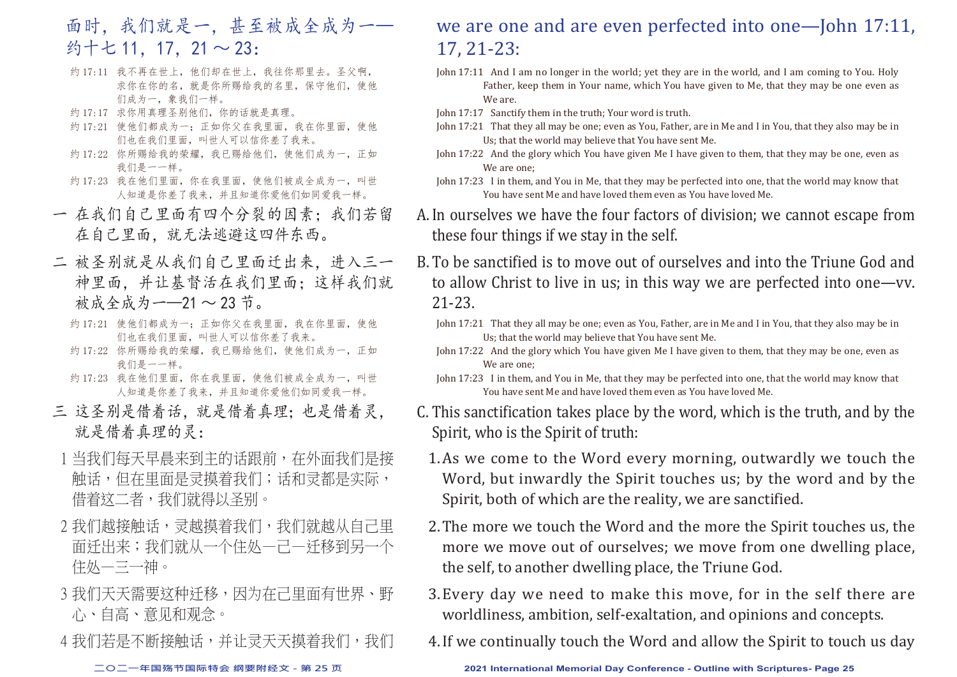# 面时,我们就是一,甚至被成全成为一— 约十七 11, 17, 21 ~ 23:

- 约 17:11 我不再在世上, 他们却在世上, 我往你那里去。圣父啊, 求你在你的名,就是你所赐给我的名里,保守他们,使他 们成为一,象我们一样。
- 约 17:17 求你用真理圣别他们,你的话就是真理。
- 约 17:21 使他们都成为一;正如你父在我里面,我在你里面,使他 们也在我们里面,叫世人可以信你差了我来。
- 约 17:22 你所赐给我的荣耀, 我已赐给他们, 使他们成为一, 正如 我们是一一样。
- 约 17:23 我在他们里面,你在我里面,使他们被成全成为一,叫世 人知道是你差了我来,并且知道你爱他们如同爱我一样。
- 一 在我们自己里面有四个分裂的因素;我们若留 在自己里面,就无法逃避这四件东西。
- 二 被圣别就是从我们自己里面迁出来,进入三一 神里面,并让基督活在我们里面;这样我们就 被成全成为 — — 21 ~ 23 节。
	- 约 17:21 使他们都成为一;正如你父在我里面,我在你里面,使他 们也在我们里面,叫世人可以信你差了我来。
	- 约 17:22 你所赐给我的荣耀,我已赐给他们,使他们成为一,正如 我们是一一样。
	- 约 17:23 我在他们里面,你在我里面,使他们被成全成为一,叫世 人知道是你差了我来,并且知道你爱他们如同爱我一样。
- 三 这圣别是借着话,就是借着真理;也是借着灵, 就是借着真理的灵:
- 1 当我们每天早晨来到主的话跟前, 在外面我们是接 触话,但在里面是灵摸着我们;话和灵都是实际, 借着这二者,我们就得以圣别。
- 2 我们越接触话,灵越摸着我们,我们就越从自己里 面迁出来;我们就从一个住处—己—迁移到另一个 住处—三一神。
- 3 我们天天需要这种迁移,因为在己里面有世界、野 心、自高、意见和观念。
- 4 我们若是不断接触话,并让灵天天摸着我们,我们

## we are one and are even perfected into one—John 17:11, 17, 21-23:

- John 17:11 And I am no longer in the world; yet they are in the world, and I am coming to You. Holy Father, keep them in Your name, which You have given to Me, that they may be one even as We are.
- John 17:17 Sanctify them in the truth; Your word is truth.
- John 17:21 That they all may be one; even as You, Father, are in Me and I in You, that they also may be in Us; that the world may believe that You have sent Me.
- John 17:22 And the glory which You have given Me I have given to them, that they may be one, even as We are one;
- John 17:23 I in them, and You in Me, that they may be perfected into one, that the world may know that You have sent Me and have loved them even as You have loved Me.
- A.In ourselves we have the four factors of division; we cannot escape from these four things if we stay in the self.
- B.To be sanctified is to move out of ourselves and into the Triune God and to allow Christ to live in us; in this way we are perfected into one—vv. 21-23.
	- John 17:21 That they all may be one; even as You, Father, are in Me and I in You, that they also may be in Us; that the world may believe that You have sent Me.
	- John 17:22 And the glory which You have given Me I have given to them, that they may be one, even as We are one;
	- John 17:23 I in them, and You in Me, that they may be perfected into one, that the world may know that You have sent Me and have loved them even as You have loved Me.
- C. This sanctification takes place by the word, which is the truth, and by the Spirit, who is the Spirit of truth:
	- 1.As we come to the Word every morning, outwardly we touch the Word, but inwardly the Spirit touches us; by the word and by the Spirit, both of which are the reality, we are sanctified.
	- 2.The more we touch the Word and the more the Spirit touches us, the more we move out of ourselves; we move from one dwelling place, the self, to another dwelling place, the Triune God.
	- 3.Every day we need to make this move, for in the self there are worldliness, ambition, self-exaltation, and opinions and concepts.
	- 4.If we continually touch the Word and allow the Spirit to touch us day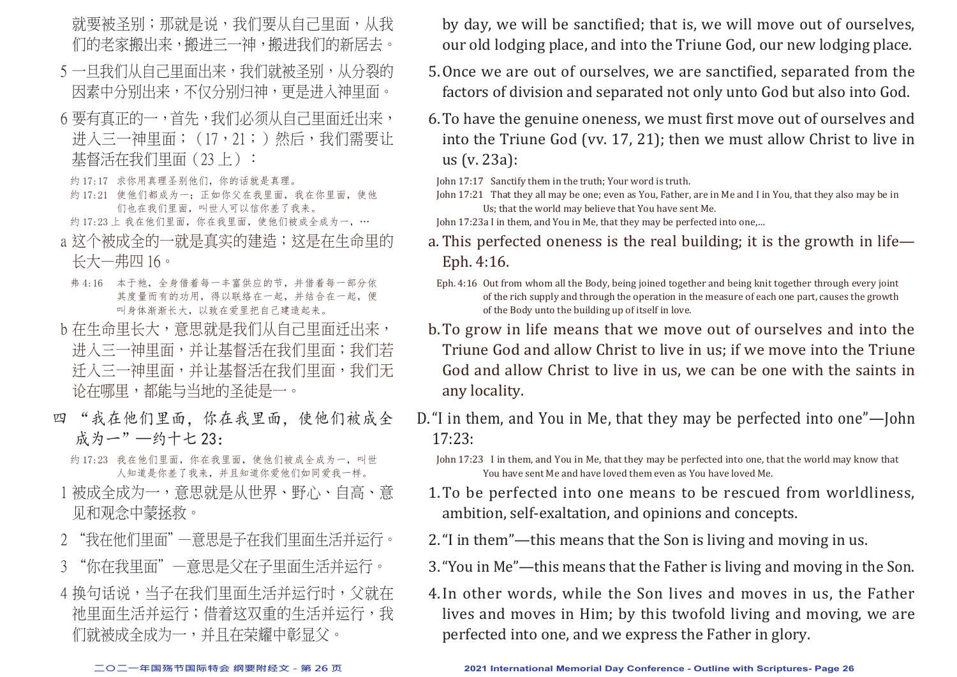就要被圣别;那就是说,我们要从自己里面,从我 们的老家搬出来,搬进三一神,搬进我们的新居去。

- 5 一日我们从自己里面出来,我们就被圣别,从分裂的 因素中分别出来,不仅分别归神,更是进入神里面。
- 6 要有直正的一,首先,我们必须从自己里面迁出来, 进入三一神里面; (17,21;)然后, 我们需要让 基督活在我们里面(23上):
- 约 17:17 求你用真理圣别他们, 你的话就是真理。
- 约 17:21 使他们都成为一;正如你父在我里面,我在你里面,使他 们也在我们里面,叫世人可以信你差了我来。
- 约 17:23 上 我在他们里面, 你在我里面, 使他们被成全成为一, …
- a 这个被成全的一就是真实的建造;这是在生命里的 长大—弗四 16。
- 弗 4:16 本于祂,全身借着每一丰富供应的节,并借着每一部分依 其度量而有的功用,得以联络在一起,并结合在一起,便 叫身体渐渐长大,以致在爱里把自己建造起来。
- b 在生命里长大, 意思就是我们从自己里面迁出来, 进入三一神里面,并让基督活在我们里面;我们若 迁入三一神里面,并让基督活在我们里面,我们无 论在哪里,都能与当地的圣徒是一。
- 四 "我在他们里面,你在我里面,使他们被成全 成为一"—约十七 23:
	- 约 17:23 我在他们里面, 你在我里面, 使他们被成全成为一, 叫世 人知道是你差了我来,并且知道你爱他们如同爱我一样。
- 1 被成全成为一, 意思就是从世界、野心、自高、意 见和观念中蒙拯救。
- 2 "我在他们里面"—意思是子在我们里面生活并运行。
- 3 "你在我里面"—意思是父在子里面生活并运行。
- 4 换句话说,当子在我们里面生活并运行时,父就在 祂里面生活并运行;借着这双重的生活并运行,我 们就被成全成为一,并且在荣耀中彰显父。
- by day, we will be sanctified; that is, we will move out of ourselves, our old lodging place, and into the Triune God, our new lodging place.
- 5.Once we are out of ourselves, we are sanctified, separated from the factors of division and separated not only unto God but also into God.
- 6.To have the genuine oneness, we must first move out of ourselves and into the Triune God (vv. 17, 21); then we must allow Christ to live in us (v. 23a):
- John 17:17 Sanctify them in the truth; Your word is truth.
- John 17:21 That they all may be one; even as You, Father, are in Me and I in You, that they also may be in Us; that the world may believe that You have sent Me.
- John 17:23a I in them, and You in Me, that they may be perfected into one,…
- a. This perfected oneness is the real building; it is the growth in life— Eph. 4:16.
- Eph. 4:16 Out from whom all the Body, being joined together and being knit together through every joint of the rich supply and through the operation in the measure of each one part, causes the growth of the Body unto the building up of itself in love.
- b.To grow in life means that we move out of ourselves and into the Triune God and allow Christ to live in us; if we move into the Triune God and allow Christ to live in us, we can be one with the saints in any locality.
- D."I in them, and You in Me, that they may be perfected into one"—John 17:23:
	- John 17:23 I in them, and You in Me, that they may be perfected into one, that the world may know that You have sent Me and have loved them even as You have loved Me.
	- 1.To be perfected into one means to be rescued from worldliness, ambition, self-exaltation, and opinions and concepts.
	- 2."I in them"—this means that the Son is living and moving in us.
	- 3."You in Me"—this means that the Father is living and moving in the Son.
	- 4.In other words, while the Son lives and moves in us, the Father lives and moves in Him; by this twofold living and moving, we are perfected into one, and we express the Father in glory.